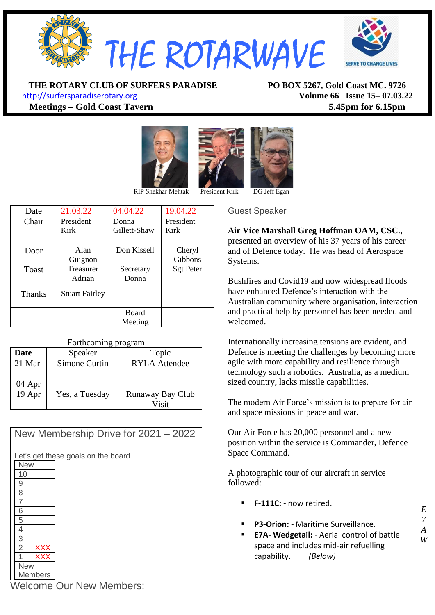

**THE ROTARY CLUB OF SURFERS PARADISE PO BOX 5267, Gold Coast MC. 9726**

[http://surfersparadiserotary.org](http://surfersparadiserotary.org/) **Volume 66 Issue 15– 07.03.22 Meetings – Gold Coast Tavern 5.45pm for 6.15pm**





RIP Shekhar Mehtak President Kirk DG Jeff Egan

| Date          | 21.03.22              | 04.04.22     | 19.04.22         |
|---------------|-----------------------|--------------|------------------|
| Chair         | President             | Donna        | President        |
|               | Kirk                  | Gillett-Shaw | Kirk             |
|               |                       |              |                  |
| Door          | Alan                  | Don Kissell  | Cheryl           |
|               | Guignon               |              | Gibbons          |
| Toast         | <b>Treasurer</b>      | Secretary    | <b>Sgt Peter</b> |
|               | Adrian                | Donna        |                  |
|               |                       |              |                  |
| <b>Thanks</b> | <b>Stuart Fairley</b> |              |                  |
|               |                       |              |                  |
|               |                       | <b>Board</b> |                  |
|               |                       | Meeting      |                  |

#### Forthcoming program

| <b>Date</b> | Speaker        | Topic            |  |  |  |
|-------------|----------------|------------------|--|--|--|
| 21 Mar      | Simone Curtin  | RYLA Attendee    |  |  |  |
|             |                |                  |  |  |  |
| 04 Apr      |                |                  |  |  |  |
| 19 Apr      | Yes, a Tuesday | Runaway Bay Club |  |  |  |
|             |                | Visit            |  |  |  |

|            |                |            | New Membership Drive for 2021 - 2022 |
|------------|----------------|------------|--------------------------------------|
|            |                |            | Let's get these goals on the board   |
|            | <b>New</b>     |            |                                      |
|            | 10             |            |                                      |
|            | 9              |            |                                      |
|            | 8              |            |                                      |
|            |                |            |                                      |
|            | 6              |            |                                      |
|            | 5              |            |                                      |
|            | 4              |            |                                      |
|            | 3              |            |                                      |
|            | $\overline{2}$ | <b>XXX</b> |                                      |
|            |                | <b>XXX</b> |                                      |
| <b>New</b> |                |            |                                      |
|            | <b>Members</b> |            |                                      |

Guest Speaker

**Air Vice Marshall Greg Hoffman OAM, CSC**., presented an overview of his 37 years of his career and of Defence today. He was head of Aerospace Systems.

Bushfires and Covid19 and now widespread floods have enhanced Defence's interaction with the Australian community where organisation, interaction and practical help by personnel has been needed and welcomed.

Internationally increasing tensions are evident, and Defence is meeting the challenges by becoming more agile with more capability and resilience through technology such a robotics. Australia, as a medium sized country, lacks missile capabilities.

The modern Air Force's mission is to prepare for air and space missions in peace and war.

Our Air Force has 20,000 personnel and a new position within the service is Commander, Defence Space Command.

A photographic tour of our aircraft in service followed:

- F-111C: now retired.
- **P3-Orion:** Maritime Surveillance.
- **E7A- Wedgetail:** Aerial control of battle space and includes mid-air refuelling capability. *(Below)*

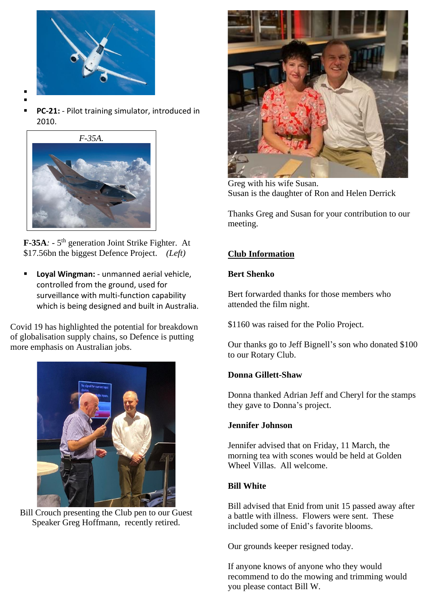

- ▪
- PC-21: Pilot training simulator, introduced in 2010.



**F-35A**: - 5<sup>th</sup> generation Joint Strike Fighter. At \$17.56bn the biggest Defence Project. *(Left)*

**Loyal Wingman:** - unmanned aerial vehicle, controlled from the ground, used for surveillance with multi-function capability which is being designed and built in Australia.

Covid 19 has highlighted the potential for breakdown of globalisation supply chains, so Defence is putting more emphasis on Australian jobs.



Bill Crouch presenting the Club pen to our Guest Speaker Greg Hoffmann, recently retired.



Greg with his wife Susan. Susan is the daughter of Ron and Helen Derrick

Thanks Greg and Susan for your contribution to our meeting.

# **Club Information**

#### **Bert Shenko**

Bert forwarded thanks for those members who attended the film night.

\$1160 was raised for the Polio Project.

Our thanks go to Jeff Bignell's son who donated \$100 to our Rotary Club.

## **Donna Gillett-Shaw**

Donna thanked Adrian Jeff and Cheryl for the stamps they gave to Donna's project.

## **Jennifer Johnson**

Jennifer advised that on Friday, 11 March, the morning tea with scones would be held at Golden Wheel Villas. All welcome.

## **Bill White**

Bill advised that Enid from unit 15 passed away after a battle with illness. Flowers were sent. These included some of Enid's favorite blooms.

Our grounds keeper resigned today.

If anyone knows of anyone who they would recommend to do the mowing and trimming would you please contact Bill W.